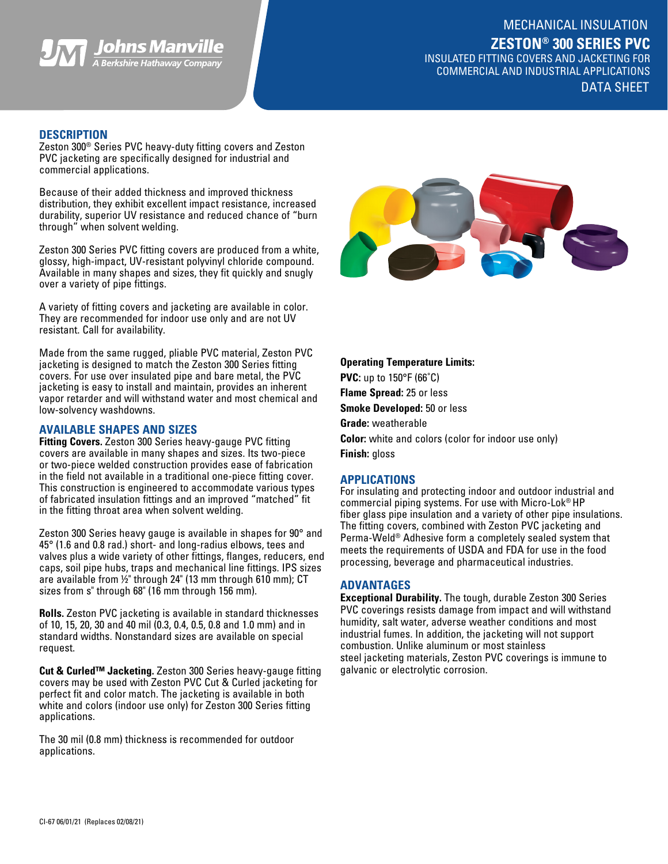

INSULATED FITTING COVERS AND JACKETING FOR COMMERCIAL AND INDUSTRIAL APPLICATIONS DATA SHEET

# **DESCRIPTION**

Zeston 300® Series PVC heavy-duty fitting covers and Zeston PVC jacketing are specifically designed for industrial and commercial applications.

Because of their added thickness and improved thickness distribution, they exhibit excellent impact resistance, increased durability, superior UV resistance and reduced chance of "burn through" when solvent welding.

Zeston 300 Series PVC fitting covers are produced from a white, glossy, high-impact, UV-resistant polyvinyl chloride compound. Available in many shapes and sizes, they fit quickly and snugly over a variety of pipe fittings.

A variety of fitting covers and jacketing are available in color. They are recommended for indoor use only and are not UV resistant. Call for availability.

Made from the same rugged, pliable PVC material, Zeston PVC jacketing is designed to match the Zeston 300 Series fitting covers. For use over insulated pipe and bare metal, the PVC jacketing is easy to install and maintain, provides an inherent vapor retarder and will withstand water and most chemical and low-solvency washdowns.

## **AVAILABLE SHAPES AND SIZES**

**Fitting Covers.** Zeston 300 Series heavy-gauge PVC fitting covers are available in many shapes and sizes. Its two-piece or two-piece welded construction provides ease of fabrication in the field not available in a traditional one-piece fitting cover. This construction is engineered to accommodate various types of fabricated insulation fittings and an improved "matched" fit in the fitting throat area when solvent welding.

Zeston 300 Series heavy gauge is available in shapes for 90° and 45° (1.6 and 0.8 rad.) short- and long-radius elbows, tees and valves plus a wide variety of other fittings, flanges, reducers, end caps, soil pipe hubs, traps and mechanical line fittings. IPS sizes are available from ½" through 24" (13 mm through 610 mm); CT sizes from s" through 68" (16 mm through 156 mm).

**Rolls.** Zeston PVC jacketing is available in standard thicknesses of 10, 15, 20, 30 and 40 mil (0.3, 0.4, 0.5, 0.8 and 1.0 mm) and in standard widths. Nonstandard sizes are available on special request.

**Cut & Curled™ Jacketing.** Zeston 300 Series heavy-gauge fitting covers may be used with Zeston PVC Cut & Curled jacketing for perfect fit and color match. The jacketing is available in both white and colors (indoor use only) for Zeston 300 Series fitting applications.

The 30 mil (0.8 mm) thickness is recommended for outdoor applications.



**Operating Temperature Limits: PVC:** up to 150°F (66˚C) **Flame Spread:** 25 or less **Smoke Developed:** 50 or less **Grade:** weatherable **Color:** white and colors (color for indoor use only)

**Finish:** gloss

## **APPLICATIONS**

For insulating and protecting indoor and outdoor industrial and commercial piping systems. For use with Micro-Lok® HP fiber glass pipe insulation and a variety of other pipe insulations. The fitting covers, combined with Zeston PVC jacketing and Perma-Weld® Adhesive form a completely sealed system that meets the requirements of USDA and FDA for use in the food processing, beverage and pharmaceutical industries.

### **ADVANTAGES**

**Exceptional Durability.** The tough, durable Zeston 300 Series PVC coverings resists damage from impact and will withstand humidity, salt water, adverse weather conditions and most industrial fumes. In addition, the jacketing will not support combustion. Unlike aluminum or most stainless steel jacketing materials, Zeston PVC coverings is immune to galvanic or electrolytic corrosion.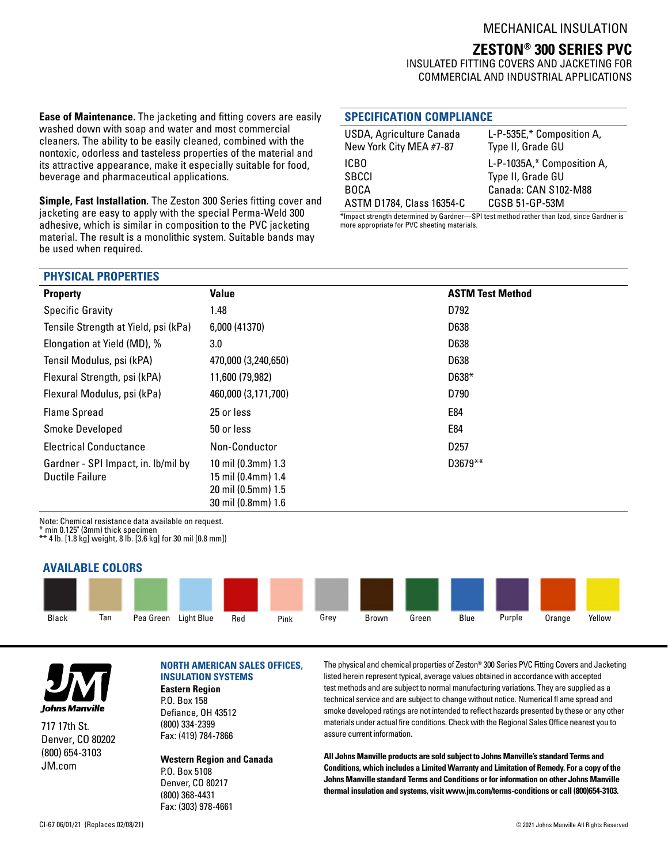# **ZESTON® 300 SERIES PVC**

INSULATED FITTING COVERS AND JACKETING FOR COMMERCIAL AND INDUSTRIAL APPLICATIONS

**Ease of Maintenance.** The jacketing and fitting covers are easily washed down with soap and water and most commercial cleaners. The ability to be easily cleaned, combined with the nontoxic, odorless and tasteless properties of the material and its attractive appearance, make it especially suitable for food, beverage and pharmaceutical applications.

**Simple, Fast Installation.** The Zeston 300 Series fitting cover and jacketing are easy to apply with the special Perma-Weld 300 adhesive, which is similar in composition to the PVC jacketing material. The result is a monolithic system. Suitable bands may be used when required.

## **SPECIFICATION COMPLIANCE**

| USDA, Agriculture Canada<br>New York City MEA #7-87 | L-P-535E,* Composition A,<br>Type II, Grade GU |
|-----------------------------------------------------|------------------------------------------------|
| ICBO                                                | L-P-1035A,* Composition A,                     |
| SBCCI                                               | Type II, Grade GU                              |
| <b>BOCA</b>                                         | Canada: CAN S102-M88                           |
| ASTM D1784, Class 16354-C                           | CGSB 51-GP-53M                                 |

\*Impact strength determined by Gardner—SPI test method rather than Izod, since Gardner is more appropriate for PVC sheeting materials.

### **PHYSICAL PROPERTIES**

| <b>Property</b>                                               | Value                                                                                | <b>ASTM Test Method</b> |
|---------------------------------------------------------------|--------------------------------------------------------------------------------------|-------------------------|
| <b>Specific Gravity</b>                                       | 1.48                                                                                 | D792                    |
| Tensile Strength at Yield, psi (kPa)                          | 6,000 (41370)                                                                        | D638                    |
| Elongation at Yield (MD), %                                   | 3.0                                                                                  | D638                    |
| Tensil Modulus, psi (kPA)                                     | 470,000 (3,240,650)                                                                  | D638                    |
| Flexural Strength, psi (kPA)                                  | 11,600 (79,982)                                                                      | $D638*$                 |
| Flexural Modulus, psi (kPa)                                   | 460,000 (3,171,700)                                                                  | D790                    |
| <b>Flame Spread</b>                                           | 25 or less                                                                           | E84                     |
| Smoke Developed                                               | 50 or less                                                                           | E84                     |
| <b>Electrical Conductance</b>                                 | Non-Conductor                                                                        | D <sub>257</sub>        |
| Gardner - SPI Impact, in. Ib/mil by<br><b>Ductile Failure</b> | 10 mil (0.3mm) 1.3<br>15 mil (0.4mm) 1.4<br>20 mil (0.5mm) 1.5<br>30 mil (0.8mm) 1.6 | D3679**                 |

Note: Chemical resistance data available on request.

\* min 0.125" (3mm) thick specimen

\*\* 4 lb. [1.8 kg] weight, 8 lb. [3.6 kg] for 30 mil [0.8 mm])

## **AVAILABLE COLORS**





717 17th St. Denver, CO 80202 (800) 654-3103 JM.com

## **NORTH AMERICAN SALES OFFICES, INSULATION SYSTEMS**

**Eastern Region** P.O. Box 158 Defiance, OH 43512 (800) 334-2399

(800) 368-4431 Fax: (303) 978-4661

Fax: (419) 784-7866

**Western Region and Canada** P.O. Box 5108 Denver, CO 80217

assure current information.

The physical and chemical properties of Zeston® 300 Series PVC Fitting Covers and Jacketing listed herein represent typical, average values obtained in accordance with accepted test methods and are subject to normal manufacturing variations. They are supplied as a technical service and are subject to change without notice. Numerical fl ame spread and smoke developed ratings are not intended to reflect hazards presented by these or any other materials under actual fire conditions. Check with the Regional Sales Office nearest you to

**All Johns Manville products are sold subject to Johns Manville's standard Terms and Conditions, which includes a Limited Warranty and Limitation of Remedy. For a copy of the Johns Manville standard Terms and Conditions or for information on other Johns Manville thermal insulation and systems, visit www.jm.com/terms-conditions or call (800)654-3103.**